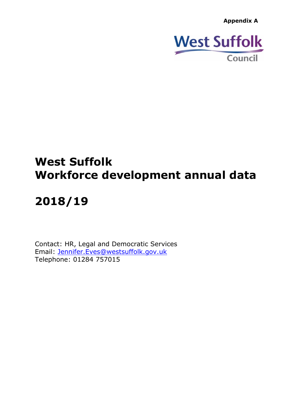**Appendix A**



# **West Suffolk Workforce development annual data**

# **2018/19**

Contact: HR, Legal and Democratic Services Email: [Jennifer.Eves@westsuffolk.gov.uk](mailto:Jennifer.Eves@westsuffolk.gov.uk) Telephone: 01284 757015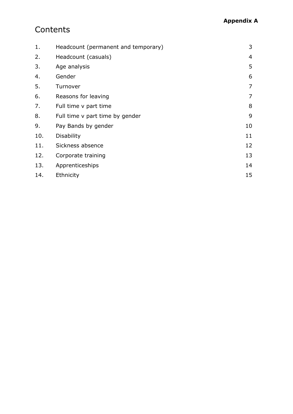## **Contents**

| 1.  | Headcount (permanent and temporary) | 3              |
|-----|-------------------------------------|----------------|
| 2.  | Headcount (casuals)                 | 4              |
| 3.  | Age analysis                        | 5              |
| 4.  | Gender                              | 6              |
| 5.  | Turnover                            | 7              |
| 6.  | Reasons for leaving                 | $\overline{7}$ |
| 7.  | Full time v part time               | 8              |
| 8.  | Full time v part time by gender     | 9              |
| 9.  | Pay Bands by gender                 | 10             |
| 10. | <b>Disability</b>                   | 11             |
| 11. | Sickness absence                    | 12             |
| 12. | Corporate training                  | 13             |
| 13. | Apprenticeships                     | 14             |
| 14. | Ethnicity                           | 15             |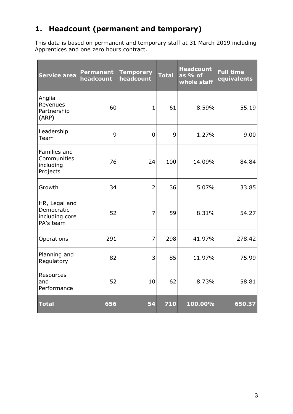#### <span id="page-2-0"></span>**1. Headcount (permanent and temporary)**

This data is based on permanent and temporary staff at 31 March 2019 including Apprentices and one zero hours contract.

| <b>Service area</b>                                        | <b>Permanent</b><br>headcount | <b>Temporary</b><br>headcount | <b>Total</b> | <b>Headcount</b><br>as % of<br>whole staff | <b>Full time</b><br>equivalents |
|------------------------------------------------------------|-------------------------------|-------------------------------|--------------|--------------------------------------------|---------------------------------|
| Anglia<br>Revenues<br>Partnership<br>(ARP)                 | 60                            | $\mathbf{1}$                  | 61           | 8.59%                                      | 55.19                           |
| Leadership<br>Team                                         | 9                             | 0                             | 9            | 1.27%                                      | 9.00                            |
| Families and<br>Communities<br>including<br>Projects       | 76                            | 24                            | 100          | 14.09%                                     | 84.84                           |
| Growth                                                     | 34                            | $\overline{2}$                | 36           | 5.07%                                      | 33.85                           |
| HR, Legal and<br>Democratic<br>including core<br>PA's team | 52                            | 7                             | 59           | 8.31%                                      | 54.27                           |
| Operations                                                 | 291                           | 7                             | 298          | 41.97%                                     | 278.42                          |
| Planning and<br>Regulatory                                 | 82                            | 3                             | 85           | 11.97%                                     | 75.99                           |
| Resources<br>and<br>Performance                            | 52                            | 10                            | 62           | 8.73%                                      | 58.81                           |
| <b>Total</b>                                               | 656                           | 54                            | 710          | 100.00%                                    | 650.37                          |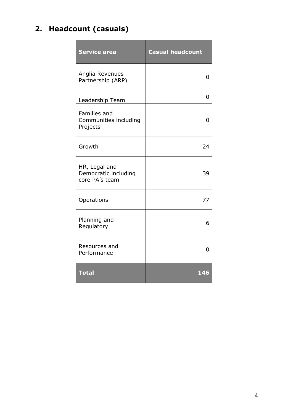## <span id="page-3-0"></span>**2. Headcount (casuals)**

| <b>Service area</b>                                     | <b>Casual headcount</b> |
|---------------------------------------------------------|-------------------------|
| Anglia Revenues<br>Partnership (ARP)                    | 0                       |
| Leadership Team                                         | 0                       |
| Families and<br>Communities including<br>Projects       | O                       |
| Growth                                                  | 24                      |
| HR, Legal and<br>Democratic including<br>core PA's team | 39                      |
| Operations                                              | 77                      |
| Planning and<br>Regulatory                              | 6                       |
| Resources and<br>Performance                            | 0                       |
| <b>Total</b>                                            | 146                     |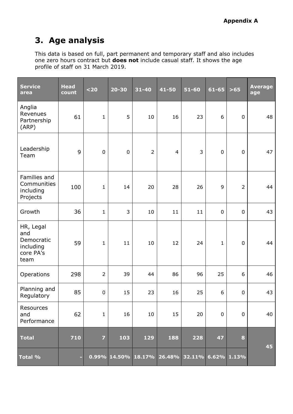# <span id="page-4-0"></span>**3. Age analysis**

This data is based on full, part permanent and temporary staff and also includes one zero hours contract but **does not** include casual staff. It shows the age profile of staff on 31 March 2019.

| Service<br>area                                                  | <b>Head</b><br>count | $20$           | $20 - 30$   | $31 - 40$      | 41-50                                            | $51 - 60$ | 61-65        | $>65$            | <b>Average</b><br>age |
|------------------------------------------------------------------|----------------------|----------------|-------------|----------------|--------------------------------------------------|-----------|--------------|------------------|-----------------------|
| Anglia<br>Revenues<br>Partnership<br>(ARP)                       | 61                   | $\mathbf{1}$   | 5           | 10             | 16                                               | 23        | 6            | $\boldsymbol{0}$ | 48                    |
| Leadership<br>Team                                               | 9                    | $\mathbf 0$    | $\mathbf 0$ | $\overline{2}$ | $\overline{4}$                                   | 3         | $\mathbf 0$  | $\mathbf 0$      | 47                    |
| Families and<br>Communities<br>including<br>Projects             | 100                  | $\mathbf{1}$   | 14          | 20             | 28                                               | 26        | 9            | $\overline{2}$   | 44                    |
| Growth                                                           | 36                   | $\mathbf{1}$   | 3           | 10             | 11                                               | 11        | $\mathbf 0$  | $\mathbf 0$      | 43                    |
| HR, Legal<br>and<br>Democratic<br>including<br>core PA's<br>team | 59                   | $\mathbf{1}$   | 11          | 10             | 12                                               | 24        | $\mathbf{1}$ | $\mathbf 0$      | 44                    |
| Operations                                                       | 298                  | $\overline{2}$ | 39          | 44             | 86                                               | 96        | 25           | 6                | 46                    |
| Planning and<br>Regulatory                                       | 85                   | 0              | 15          | 23             | 16                                               | 25        | 6            | $\mathbf 0$      | 43                    |
| Resources<br>and<br>Performance                                  | 62                   | $\mathbf{1}$   | 16          | 10             | 15                                               | 20        | $\pmb{0}$    | $\pmb{0}$        | 40                    |
| <b>Total</b>                                                     | 710                  | $\overline{z}$ | 103         | 129            | 188                                              | 228       | 47           | 8                | 45                    |
| <b>Total %</b>                                                   | ٠                    |                |             |                | $0.99\%$ 14.50% 18.17% 26.48% 32.11% 6.62% 1.13% |           |              |                  |                       |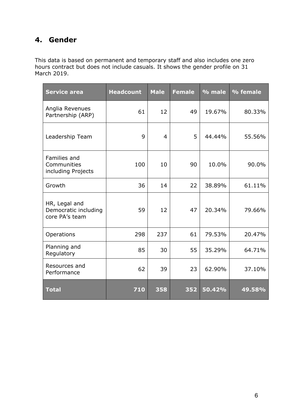#### <span id="page-5-0"></span>**4. Gender**

This data is based on permanent and temporary staff and also includes one zero hours contract but does not include casuals. It shows the gender profile on 31 March 2019.

| <b>Service area</b>                                     | <b>Headcount</b> | <b>Male</b>    | <b>Female</b> | % male | % female |
|---------------------------------------------------------|------------------|----------------|---------------|--------|----------|
| Anglia Revenues<br>Partnership (ARP)                    | 61               | 12             | 49            | 19.67% | 80.33%   |
| Leadership Team                                         | 9                | $\overline{4}$ | 5             | 44.44% | 55.56%   |
| Families and<br>Communities<br>including Projects       | 100              | 10             | 90            | 10.0%  | 90.0%    |
| Growth                                                  | 36               | 14             | 22            | 38.89% | 61.11%   |
| HR, Legal and<br>Democratic including<br>core PA's team | 59               | 12             | 47            | 20.34% | 79.66%   |
| Operations                                              | 298              | 237            | 61            | 79.53% | 20.47%   |
| Planning and<br>Regulatory                              | 85               | 30             | 55            | 35.29% | 64.71%   |
| Resources and<br>Performance                            | 62               | 39             | 23            | 62.90% | 37.10%   |
| <b>Total</b>                                            | 710              | 358            | 352           | 50.42% | 49.58%   |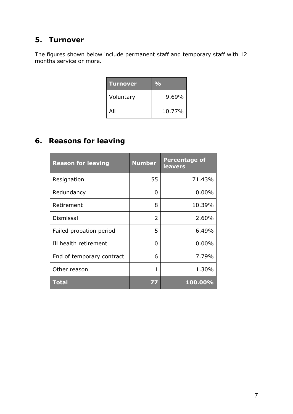#### <span id="page-6-0"></span>**5. Turnover**

The figures shown below include permanent staff and temporary staff with 12 months service or more.

| <b>Turnover</b> | $\mathbf{O}_{\mathbf{O}}$ |
|-----------------|---------------------------|
| Voluntary       | $9.69\%$                  |
| All             | 10.77%                    |

#### <span id="page-6-1"></span>**6. Reasons for leaving**

| <b>Reason for leaving</b> | <b>Number</b>  | <b>Percentage of</b><br><b>leavers</b> |
|---------------------------|----------------|----------------------------------------|
| Resignation               | 55             | 71.43%                                 |
| Redundancy                | 0              | $0.00\%$                               |
| Retirement                | 8              | 10.39%                                 |
| <b>Dismissal</b>          | $\overline{2}$ | 2.60%                                  |
| Failed probation period   | 5              | 6.49%                                  |
| Ill health retirement     | 0              | $0.00\%$                               |
| End of temporary contract | 6              | 7.79%                                  |
| Other reason              | 1              | 1.30%                                  |
| <b>Total</b>              | 77             | 100.00%                                |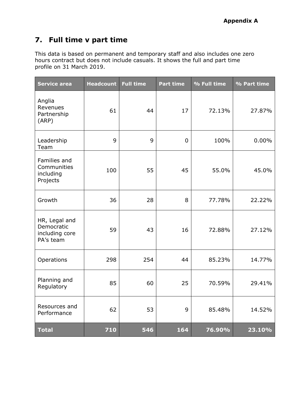#### <span id="page-7-0"></span>**7. Full time v part time**

This data is based on permanent and temporary staff and also includes one zero hours contract but does not include casuals. It shows the full and part time profile on 31 March 2019.

| <b>Service area</b>                                        | <b>Headcount</b> | <b>Full time</b> | <b>Part time</b> | % Full time | % Part time |
|------------------------------------------------------------|------------------|------------------|------------------|-------------|-------------|
| Anglia<br>Revenues<br>Partnership<br>(ARP)                 | 61               | 44               | 17               | 72.13%      | 27.87%      |
| Leadership<br>Team                                         | 9                | 9                | 0                | 100%        | $0.00\%$    |
| Families and<br>Communities<br>including<br>Projects       | 100              | 55               | 45               | 55.0%       | 45.0%       |
| Growth                                                     | 36               | 28               | 8                | 77.78%      | 22.22%      |
| HR, Legal and<br>Democratic<br>including core<br>PA's team | 59               | 43               | 16               | 72.88%      | 27.12%      |
| Operations                                                 | 298              | 254              | 44               | 85.23%      | 14.77%      |
| Planning and<br>Regulatory                                 | 85               | 60               | 25               | 70.59%      | 29.41%      |
| Resources and<br>Performance                               | 62               | 53               | 9                | 85.48%      | 14.52%      |
| <b>Total</b>                                               | 710              | 546              | 164              | 76.90%      | 23.10%      |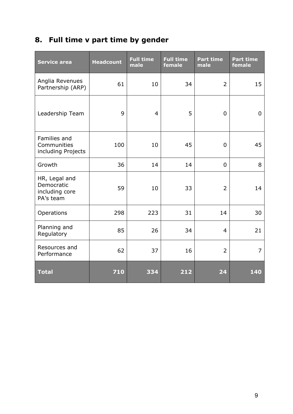# <span id="page-8-0"></span>**8. Full time v part time by gender**

| <b>Service area</b>                                        | <b>Headcount</b> | <b>Full time</b><br>male | <b>Full time</b><br>female | <b>Part time</b><br>male | <b>Part time</b><br>female |
|------------------------------------------------------------|------------------|--------------------------|----------------------------|--------------------------|----------------------------|
| Anglia Revenues<br>Partnership (ARP)                       | 61               | 10                       | 34                         | $\overline{2}$           | 15                         |
| Leadership Team                                            | 9                | $\overline{4}$           | 5                          | 0                        | 0                          |
| Families and<br>Communities<br>including Projects          | 100              | 10                       | 45                         | $\Omega$                 | 45                         |
| Growth                                                     | 36               | 14                       | 14                         | $\mathbf 0$              | 8                          |
| HR, Legal and<br>Democratic<br>including core<br>PA's team | 59               | 10                       | 33                         | $\overline{2}$           | 14                         |
| Operations                                                 | 298              | 223                      | 31                         | 14                       | 30                         |
| Planning and<br>Regulatory                                 | 85               | 26                       | 34                         | $\overline{4}$           | 21                         |
| Resources and<br>Performance                               | 62               | 37                       | 16                         | $\overline{2}$           | $\overline{7}$             |
| <b>Total</b>                                               | 710              | 334                      | 212                        | 24                       | 140                        |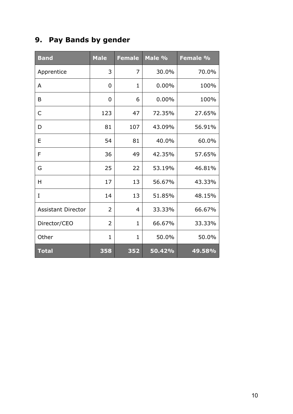# <span id="page-9-0"></span>**9. Pay Bands by gender**

| <b>Band</b>               | <b>Male</b>  | <b>Female</b> | Male % | Female % |
|---------------------------|--------------|---------------|--------|----------|
| Apprentice                | 3            | 7             | 30.0%  | 70.0%    |
| A                         | 0            | 1             | 0.00%  | 100%     |
| B                         | 0            | 6             | 0.00%  | 100%     |
| C                         | 123          | 47            | 72.35% | 27.65%   |
| D                         | 81           | 107           | 43.09% | 56.91%   |
| Ε                         | 54           | 81            | 40.0%  | 60.0%    |
| F                         | 36           | 49            | 42.35% | 57.65%   |
| G                         | 25           | 22            | 53.19% | 46.81%   |
| н                         | 17           | 13            | 56.67% | 43.33%   |
| I                         | 14           | 13            | 51.85% | 48.15%   |
| <b>Assistant Director</b> | 2            | 4             | 33.33% | 66.67%   |
| Director/CEO              | 2            | 1             | 66.67% | 33.33%   |
| Other                     | $\mathbf{1}$ | 1             | 50.0%  | 50.0%    |
| <b>Total</b>              | 358          | 352           | 50.42% | 49.58%   |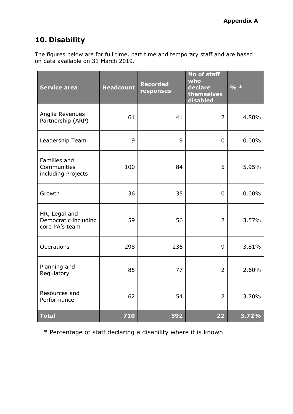#### <span id="page-10-0"></span>**10. Disability**

The figures below are for full time, part time and temporary staff and are based on data available on 31 March 2019.

| <b>Service area</b>                                     | <b>Headcount</b> | <b>Recorded</b><br>responses | No of staff<br>who<br>declare<br>themselves<br>disabled | $9/0 *$  |
|---------------------------------------------------------|------------------|------------------------------|---------------------------------------------------------|----------|
| Anglia Revenues<br>Partnership (ARP)                    | 61               | 41                           | $\overline{2}$                                          | 4.88%    |
| Leadership Team                                         | 9                | 9                            | 0                                                       | $0.00\%$ |
| Families and<br>Communities<br>including Projects       | 100              | 84                           | 5                                                       | 5.95%    |
| Growth                                                  | 36               | 35                           | 0                                                       | $0.00\%$ |
| HR, Legal and<br>Democratic including<br>core PA's team | 59               | 56                           | $\overline{2}$                                          | 3.57%    |
| Operations                                              | 298              | 236                          | 9                                                       | 3.81%    |
| Planning and<br>Regulatory                              | 85               | 77                           | $\overline{2}$                                          | 2.60%    |
| Resources and<br>Performance                            | 62               | 54                           | $\overline{2}$                                          | 3.70%    |
| <b>Total</b>                                            | 710              | 592                          | 22                                                      | 3.72%    |

\* Percentage of staff declaring a disability where it is known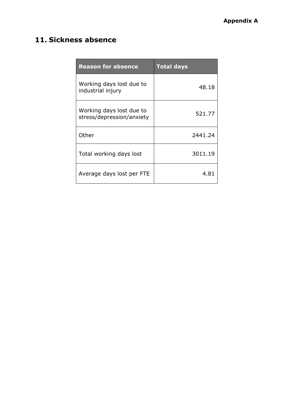### <span id="page-11-0"></span>**11. Sickness absence**

| <b>Reason for absence</b>                             | <b>Total days</b> |
|-------------------------------------------------------|-------------------|
| Working days lost due to<br>industrial injury         | 48.18             |
| Working days lost due to<br>stress/depression/anxiety | 521.77            |
| Other                                                 | 2441.24           |
| Total working days lost                               | 3011.19           |
| Average days lost per FTE                             | 4.81              |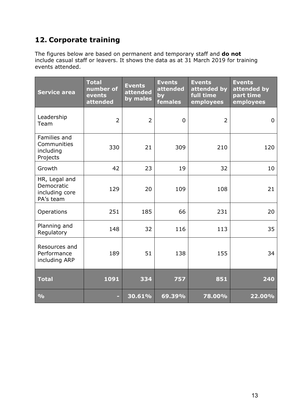#### <span id="page-12-0"></span>**12. Corporate training**

The figures below are based on permanent and temporary staff and **do not** include casual staff or leavers. It shows the data as at 31 March 2019 for training events attended.

| Service area                                               | <b>Total</b><br>number of<br>events<br>attended | <b>Events</b><br>attended<br>by males | <b>Events</b><br>attended<br>by<br>females | <b>Events</b><br>attended by<br>full time<br>employees | <b>Events</b><br>attended by<br>part time<br>employees |
|------------------------------------------------------------|-------------------------------------------------|---------------------------------------|--------------------------------------------|--------------------------------------------------------|--------------------------------------------------------|
| Leadership<br>Team                                         | $\overline{2}$                                  | $\overline{2}$                        | 0                                          | $\overline{2}$                                         | $\mathbf 0$                                            |
| Families and<br>Communities<br>including<br>Projects       | 330                                             | 21                                    | 309                                        | 210                                                    | 120                                                    |
| Growth                                                     | 42                                              | 23                                    | 19                                         | 32                                                     | 10                                                     |
| HR, Legal and<br>Democratic<br>including core<br>PA's team | 129                                             | 20                                    | 109                                        | 108                                                    | 21                                                     |
| Operations                                                 | 251                                             | 185                                   | 66                                         | 231                                                    | 20                                                     |
| Planning and<br>Regulatory                                 | 148                                             | 32                                    | 116                                        | 113                                                    | 35                                                     |
| Resources and<br>Performance<br>including ARP              | 189                                             | 51                                    | 138                                        | 155                                                    | 34                                                     |
| <b>Total</b>                                               | 1091                                            | 334                                   | 757                                        | 851                                                    | 240                                                    |
| $\frac{0}{0}$                                              |                                                 | 30.61%                                | 69.39%                                     | 78.00%                                                 | 22.00%                                                 |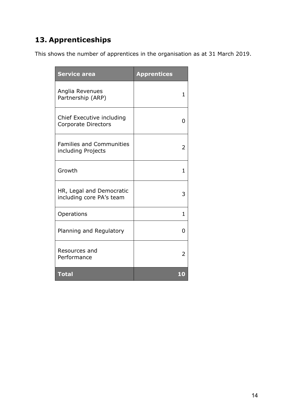### <span id="page-13-0"></span>**13. Apprenticeships**

This shows the number of apprentices in the organisation as at 31 March 2019.

| <b>Service area</b>                                     | <b>Apprentices</b> |
|---------------------------------------------------------|--------------------|
| Anglia Revenues<br>Partnership (ARP)                    | 1                  |
| Chief Executive including<br><b>Corporate Directors</b> | 0                  |
| <b>Families and Communities</b><br>including Projects   | 2                  |
| Growth                                                  | 1                  |
| HR, Legal and Democratic<br>including core PA's team    | 3                  |
| Operations                                              | 1                  |
| Planning and Regulatory                                 | O                  |
| Resources and<br>Performance                            | 2                  |
| <b>Total</b>                                            | i (0               |